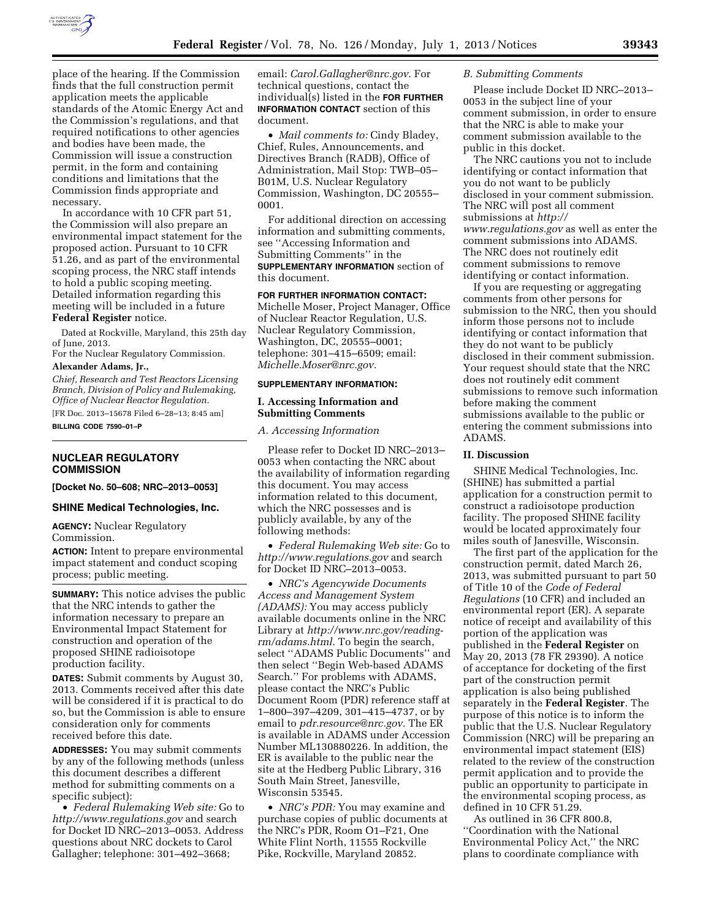

place of the hearing. If the Commission finds that the full construction permit application meets the applicable standards of the Atomic Energy Act and the Commission's regulations, and that required notifications to other agencies and bodies have been made, the Commission will issue a construction permit, in the form and containing conditions and limitations that the Commission finds appropriate and necessary.

In accordance with 10 CFR part 51, the Commission will also prepare an environmental impact statement for the proposed action. Pursuant to 10 CFR 51.26, and as part of the environmental scoping process, the NRC staff intends to hold a public scoping meeting. Detailed information regarding this meeting will be included in a future **Federal Register** notice.

Dated at Rockville, Maryland, this 25th day of June, 2013.

For the Nuclear Regulatory Commission. **Alexander Adams, Jr.,** 

*Chief, Research and Test Reactors Licensing Branch, Division of Policy and Rulemaking, Office of Nuclear Reactor Regulation.*  [FR Doc. 2013–15678 Filed 6–28–13; 8:45 am] **BILLING CODE 7590–01–P** 

# **NUCLEAR REGULATORY COMMISSION**

**[Docket No. 50–608; NRC–2013–0053]** 

#### **SHINE Medical Technologies, Inc.**

**AGENCY:** Nuclear Regulatory Commission.

**ACTION:** Intent to prepare environmental impact statement and conduct scoping process; public meeting.

**SUMMARY:** This notice advises the public that the NRC intends to gather the information necessary to prepare an Environmental Impact Statement for construction and operation of the proposed SHINE radioisotope production facility.

**DATES:** Submit comments by August 30, 2013. Comments received after this date will be considered if it is practical to do so, but the Commission is able to ensure consideration only for comments received before this date.

**ADDRESSES:** You may submit comments by any of the following methods (unless this document describes a different method for submitting comments on a specific subject):

• *Federal Rulemaking Web site:* Go to *<http://www.regulations.gov>* and search for Docket ID NRC–2013–0053. Address questions about NRC dockets to Carol Gallagher; telephone: 301–492–3668;

email: *[Carol.Gallagher@nrc.gov](mailto:Carol.Gallagher@nrc.gov)*. For technical questions, contact the individual(s) listed in the **FOR FURTHER INFORMATION CONTACT** section of this document.

• *Mail comments to:* Cindy Bladey, Chief, Rules, Announcements, and Directives Branch (RADB), Office of Administration, Mail Stop: TWB–05– B01M, U.S. Nuclear Regulatory Commission, Washington, DC 20555– 0001.

For additional direction on accessing information and submitting comments, see ''Accessing Information and Submitting Comments'' in the **SUPPLEMENTARY INFORMATION** section of this document.

# **FOR FURTHER INFORMATION CONTACT:**

Michelle Moser, Project Manager, Office of Nuclear Reactor Regulation, U.S. Nuclear Regulatory Commission, Washington, DC, 20555–0001; telephone: 301–415–6509; email: *[Michelle.Moser@nrc.gov.](mailto:Michelle.Moser@nrc.gov)* 

#### **SUPPLEMENTARY INFORMATION:**

### **I. Accessing Information and Submitting Comments**

*A. Accessing Information* 

Please refer to Docket ID NRC–2013– 0053 when contacting the NRC about the availability of information regarding this document. You may access information related to this document, which the NRC possesses and is publicly available, by any of the following methods:

• *Federal Rulemaking Web site:* Go to *<http://www.regulations.gov>* and search for Docket ID NRC–2013–0053.

• *NRC's Agencywide Documents Access and Management System (ADAMS):* You may access publicly available documents online in the NRC Library at *[http://www.nrc.gov/reading](http://www.nrc.gov/reading-rm/adams.html)[rm/adams.html](http://www.nrc.gov/reading-rm/adams.html)*. To begin the search, select ''ADAMS Public Documents'' and then select ''Begin Web-based ADAMS Search.'' For problems with ADAMS, please contact the NRC's Public Document Room (PDR) reference staff at 1–800–397–4209, 301–415–4737, or by email to *[pdr.resource@nrc.gov.](mailto:pdr.resource@nrc.gov)* The ER is available in ADAMS under Accession Number ML130880226. In addition, the ER is available to the public near the site at the Hedberg Public Library, 316 South Main Street, Janesville, Wisconsin 53545.

• *NRC's PDR:* You may examine and purchase copies of public documents at the NRC's PDR, Room O1–F21, One White Flint North, 11555 Rockville Pike, Rockville, Maryland 20852.

#### *B. Submitting Comments*

Please include Docket ID NRC–2013– 0053 in the subject line of your comment submission, in order to ensure that the NRC is able to make your comment submission available to the public in this docket.

The NRC cautions you not to include identifying or contact information that you do not want to be publicly disclosed in your comment submission. The NRC will post all comment submissions at *[http://](http://www.regulations.gov)  [www.regulations.gov](http://www.regulations.gov)* as well as enter the comment submissions into ADAMS. The NRC does not routinely edit comment submissions to remove identifying or contact information.

If you are requesting or aggregating comments from other persons for submission to the NRC, then you should inform those persons not to include identifying or contact information that they do not want to be publicly disclosed in their comment submission. Your request should state that the NRC does not routinely edit comment submissions to remove such information before making the comment submissions available to the public or entering the comment submissions into ADAMS.

#### **II. Discussion**

SHINE Medical Technologies, Inc. (SHINE) has submitted a partial application for a construction permit to construct a radioisotope production facility. The proposed SHINE facility would be located approximately four miles south of Janesville, Wisconsin.

The first part of the application for the construction permit, dated March 26, 2013, was submitted pursuant to part 50 of Title 10 of the *Code of Federal Regulations* (10 CFR) and included an environmental report (ER). A separate notice of receipt and availability of this portion of the application was published in the **Federal Register** on May 20, 2013 (78 FR 29390). A notice of acceptance for docketing of the first part of the construction permit application is also being published separately in the **Federal Register**. The purpose of this notice is to inform the public that the U.S. Nuclear Regulatory Commission (NRC) will be preparing an environmental impact statement (EIS) related to the review of the construction permit application and to provide the public an opportunity to participate in the environmental scoping process, as defined in 10 CFR 51.29.

As outlined in 36 CFR 800.8, ''Coordination with the National Environmental Policy Act,'' the NRC plans to coordinate compliance with